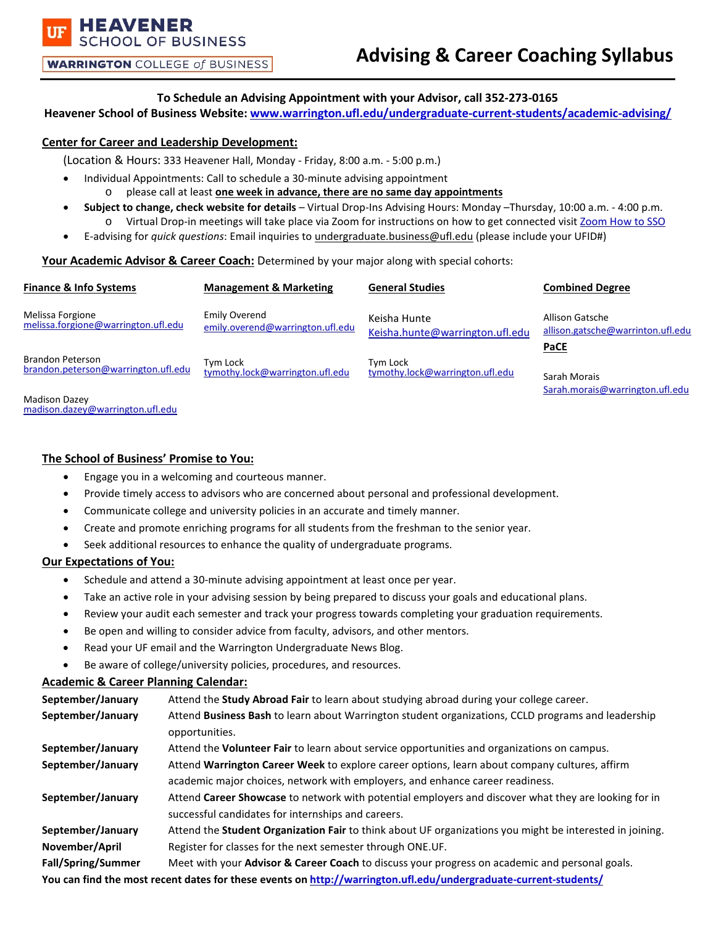**WARRINGTON** COLLEGE of BUSINESS

**IOOL OF BUSINESS** 

**HEAVENER** 

# **To Schedule an Advising Appointment with your Advisor, call 352-273-0165**

**Heavener School of Business Website: [www.warrington.ufl.edu/undergraduate-current-students/academic-advising/](http://www.warrington.ufl.edu/undergraduate-current-students/academic-advising/)**

## **Center for Career and Leadership Development:**

(Location & Hours: 333 Heavener Hall, Monday - Friday, 8:00 a.m. - 5:00 p.m.)

- Individual Appointments: Call to schedule a 30-minute advising appointment
	- o please call at least **one week in advance, there are no same day appointments**
- **Subject to change, check website for details** Virtual Drop-Ins Advising Hours: Monday –Thursday, 10:00 a.m. 4:00 p.m. o Virtual Drop-in meetings will take place via Zoom for instructions on how to get connected visit [Zoom How to SSO](https://warrington.ufl.edu/undergraduate-current-students/wp-content/uploads/sites/45/2020/11/Zoom-how-to-SSO.pdf)
- E-advising for *quick questions*: Email inquiries to [undergraduate.business@ufl.edu](mailto:undergraduate.business@ufl.edu) (please include your UFID#)

## **Your Academic Advisor & Career Coach:** Determined by your major along with special cohorts:

| Finance & Info Systems                                         | <b>Management &amp; Marketing</b>                 | <b>General Studies</b>                          | <b>Combined Degree</b>                                       |
|----------------------------------------------------------------|---------------------------------------------------|-------------------------------------------------|--------------------------------------------------------------|
| Melissa Forgione<br>melissa.forgione@warrington.ufl.edu        | Emily Overend<br>emily.overend@warrington.ufl.edu | Keisha Hunte<br>Keisha.hunte@warrington.ufl.edu | Allison Gatsche<br>allison.gatsche@warrinton.ufl.edu<br>PaCE |
| <b>Brandon Peterson</b><br>brandon.peterson@warrington.ufl.edu | Tym Lock<br>tymothy.lock@warrington.ufl.edu       | Tvm Lock<br>tymothy.lock@warrington.ufl.edu     | Sarah Morais<br>Sarah.morais@warrington.ufl.edu              |
| <b>Madison Dazey</b><br>madison.dazev@warrington.ufl.edu       |                                                   |                                                 |                                                              |

## **The School of Business' Promise to You:**

- Engage you in a welcoming and courteous manner.
- Provide timely access to advisors who are concerned about personal and professional development.
- Communicate college and university policies in an accurate and timely manner.
- Create and promote enriching programs for all students from the freshman to the senior year.
- Seek additional resources to enhance the quality of undergraduate programs.

#### **Our Expectations of You:**

- Schedule and attend a 30-minute advising appointment at least once per year.
- Take an active role in your advising session by being prepared to discuss your goals and educational plans.
- Review your audit each semester and track your progress towards completing your graduation requirements.
- Be open and willing to consider advice from faculty, advisors, and other mentors.
- Read your UF email and the Warrington Undergraduate News Blog.
- Be aware of college/university policies, procedures, and resources.

## **Academic & Career Planning Calendar:**

| September/January                                                                                                | Attend the Study Abroad Fair to learn about studying abroad during your college career.                                                                                        |  |  |
|------------------------------------------------------------------------------------------------------------------|--------------------------------------------------------------------------------------------------------------------------------------------------------------------------------|--|--|
| September/January                                                                                                | Attend Business Bash to learn about Warrington student organizations, CCLD programs and leadership<br>opportunities.                                                           |  |  |
| September/January                                                                                                | Attend the Volunteer Fair to learn about service opportunities and organizations on campus.                                                                                    |  |  |
| September/January                                                                                                | Attend Warrington Career Week to explore career options, learn about company cultures, affirm<br>academic major choices, network with employers, and enhance career readiness. |  |  |
| September/January                                                                                                | Attend Career Showcase to network with potential employers and discover what they are looking for in<br>successful candidates for internships and careers.                     |  |  |
| September/January                                                                                                | Attend the Student Organization Fair to think about UF organizations you might be interested in joining.                                                                       |  |  |
| November/April                                                                                                   | Register for classes for the next semester through ONE.UF.                                                                                                                     |  |  |
| Fall/Spring/Summer                                                                                               | Meet with your Advisor & Career Coach to discuss your progress on academic and personal goals.                                                                                 |  |  |
| You can find the most recent dates for these events on http://warrington.ufl.edu/undergraduate-current-students/ |                                                                                                                                                                                |  |  |